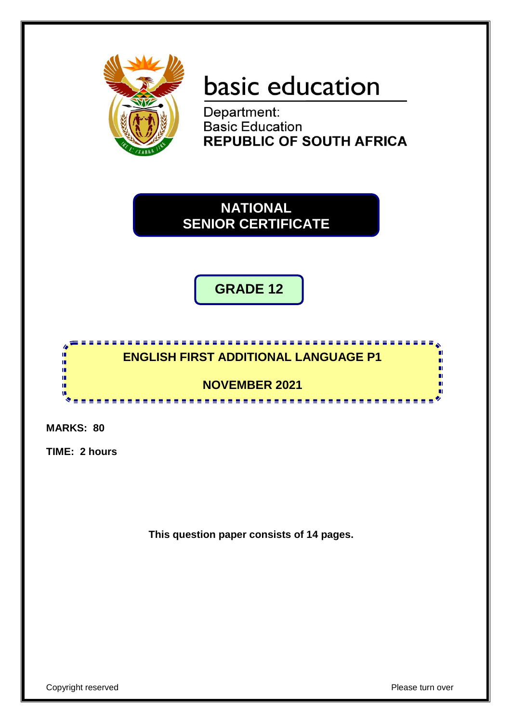

# basic education

Department: **Basic Education REPUBLIC OF SOUTH AFRICA** 

**NATIONAL SENIOR CERTIFICATE**

**GRADE 12**

## <u>..................................</u> **ENGLISH FIRST ADDITIONAL LANGUAGE P1**

**NOVEMBER 2021**

**MARKS: 80**

 $\overline{\bullet}$ ú, ú, ú, п I. w

**TIME: 2 hours**

**This question paper consists of 14 pages.**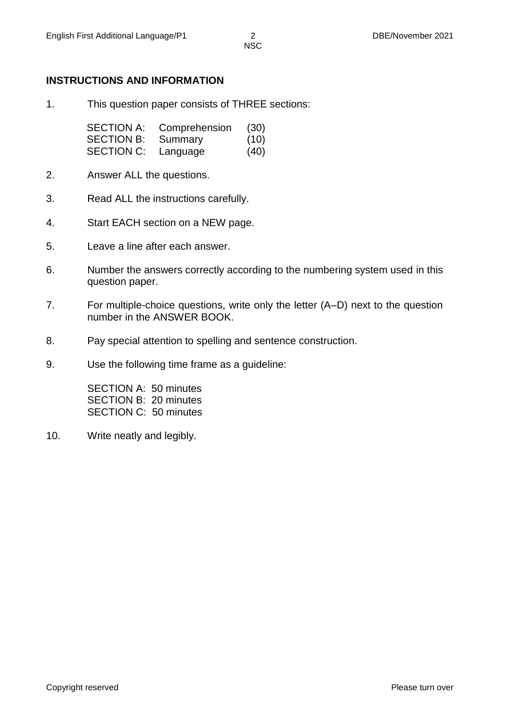#### **INSTRUCTIONS AND INFORMATION**

1. This question paper consists of THREE sections:

| <b>SECTION A:</b> | Comprehension | (30) |
|-------------------|---------------|------|
| <b>SECTION B:</b> | Summary       | (10) |
| <b>SECTION C:</b> | Language      | (40) |

- 2. Answer ALL the questions.
- 3. Read ALL the instructions carefully.
- 4. Start EACH section on a NEW page.
- 5. Leave a line after each answer.
- 6. Number the answers correctly according to the numbering system used in this question paper.
- 7. For multiple-choice questions, write only the letter (A–D) next to the question number in the ANSWER BOOK.
- 8. Pay special attention to spelling and sentence construction.
- 9. Use the following time frame as a guideline:

SECTION A: 50 minutes SECTION B: 20 minutes SECTION C: 50 minutes

10. Write neatly and legibly.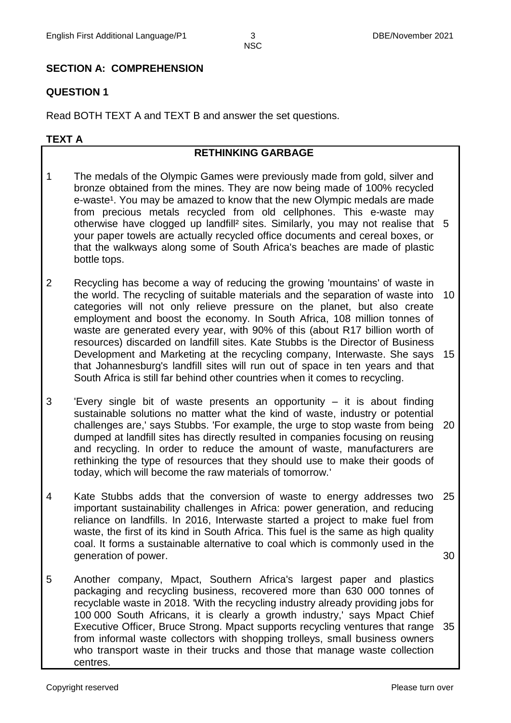### **SECTION A: COMPREHENSION**

#### **QUESTION 1**

Read BOTH TEXT A and TEXT B and answer the set questions.

#### **TEXT A**

#### **RETHINKING GARBAGE**

- 1 The medals of the Olympic Games were previously made from gold, silver and bronze obtained from the mines. They are now being made of 100% recycled e-waste<sup>1</sup>. You may be amazed to know that the new Olympic medals are made from precious metals recycled from old cellphones. This e-waste may otherwise have clogged up landfill² sites. Similarly, you may not realise that 5 your paper towels are actually recycled office documents and cereal boxes, or that the walkways along some of South Africa's beaches are made of plastic bottle tops.
- 2 Recycling has become a way of reducing the growing 'mountains' of waste in the world. The recycling of suitable materials and the separation of waste into categories will not only relieve pressure on the planet, but also create employment and boost the economy. In South Africa, 108 million tonnes of waste are generated every year, with 90% of this (about R17 billion worth of resources) discarded on landfill sites. Kate Stubbs is the Director of Business Development and Marketing at the recycling company, Interwaste. She says that Johannesburg's landfill sites will run out of space in ten years and that South Africa is still far behind other countries when it comes to recycling. 10 15
- 3 'Every single bit of waste presents an opportunity – it is about finding sustainable solutions no matter what the kind of waste, industry or potential challenges are,' says Stubbs. 'For example, the urge to stop waste from being dumped at landfill sites has directly resulted in companies focusing on reusing and recycling. In order to reduce the amount of waste, manufacturers are rethinking the type of resources that they should use to make their goods of today, which will become the raw materials of tomorrow.' 20
- 4 Kate Stubbs adds that the conversion of waste to energy addresses two important sustainability challenges in Africa: power generation, and reducing reliance on landfills. In 2016, Interwaste started a project to make fuel from waste, the first of its kind in South Africa. This fuel is the same as high quality coal. It forms a sustainable alternative to coal which is commonly used in the generation of power. 25 30
- 5 Another company, Mpact, Southern Africa's largest paper and plastics packaging and recycling business, recovered more than 630 000 tonnes of recyclable waste in 2018. 'With the recycling industry already providing jobs for 100 000 South Africans, it is clearly a growth industry,' says Mpact Chief Executive Officer, Bruce Strong. Mpact supports recycling ventures that range 35from informal waste collectors with shopping trolleys, small business owners who transport waste in their trucks and those that manage waste collection centres.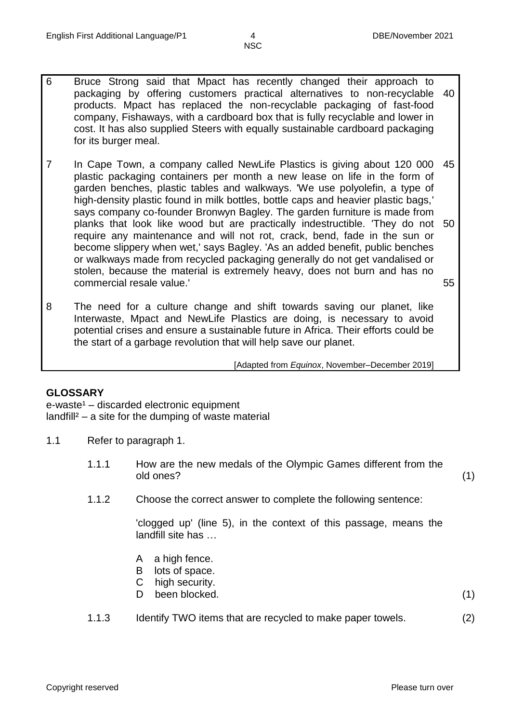- 6 Bruce Strong said that Mpact has recently changed their approach to packaging by offering customers practical alternatives to non-recyclable products. Mpact has replaced the non-recyclable packaging of fast-food company, Fishaways, with a cardboard box that is fully recyclable and lower in cost. It has also supplied Steers with equally sustainable cardboard packaging for its burger meal. 40
- 7 In Cape Town, a company called NewLife Plastics is giving about 120 000 plastic packaging containers per month a new lease on life in the form of garden benches, plastic tables and walkways. 'We use polyolefin, a type of high-density plastic found in milk bottles, bottle caps and heavier plastic bags,' says company co-founder Bronwyn Bagley. The garden furniture is made from planks that look like wood but are practically indestructible. 'They do not 50 require any maintenance and will not rot, crack, bend, fade in the sun or become slippery when wet,' says Bagley. 'As an added benefit, public benches or walkways made from recycled packaging generally do not get vandalised or stolen, because the material is extremely heavy, does not burn and has no commercial resale value.' 45 55
- 8 The need for a culture change and shift towards saving our planet, like Interwaste, Mpact and NewLife Plastics are doing, is necessary to avoid potential crises and ensure a sustainable future in Africa. Their efforts could be the start of a garbage revolution that will help save our planet.

[Adapted from *Equinox*, November–December 2019]

#### **GLOSSARY**

 $e$ -waste<sup>1</sup> – discarded electronic equipment  $landfill<sup>2</sup> – a site for the clumping of waste material$ 

- 1.1 Refer to paragraph 1.
	- 1.1.1 How are the new medals of the Olympic Games different from the old ones? (1)
	- 1.1.2 Choose the correct answer to complete the following sentence:

'clogged up' (line 5), in the context of this passage, means the landfill site has …

- A a high fence.
- B lots of space.
- C high security.
- D been blocked. (1)
- 1.1.3 Identify TWO items that are recycled to make paper towels. (2)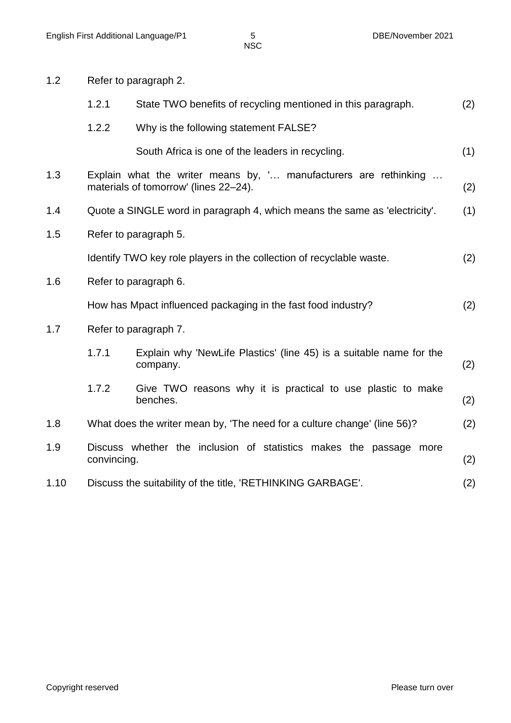| 1.2  |                                                                                                                  | Refer to paragraph 2.                                                           |     |  |
|------|------------------------------------------------------------------------------------------------------------------|---------------------------------------------------------------------------------|-----|--|
|      | 1.2.1                                                                                                            | State TWO benefits of recycling mentioned in this paragraph.                    | (2) |  |
|      | 1.2.2                                                                                                            | Why is the following statement FALSE?                                           |     |  |
|      |                                                                                                                  | South Africa is one of the leaders in recycling.                                | (1) |  |
| 1.3  | Explain what the writer means by, ' manufacturers are rethinking<br>materials of tomorrow' (lines 22-24).<br>(2) |                                                                                 |     |  |
| 1.4  | Quote a SINGLE word in paragraph 4, which means the same as 'electricity'.                                       |                                                                                 | (1) |  |
| 1.5  |                                                                                                                  | Refer to paragraph 5.                                                           |     |  |
|      |                                                                                                                  | Identify TWO key role players in the collection of recyclable waste.            | (2) |  |
| 1.6  | Refer to paragraph 6.                                                                                            |                                                                                 |     |  |
|      |                                                                                                                  | How has Mpact influenced packaging in the fast food industry?                   | (2) |  |
| 1.7  |                                                                                                                  | Refer to paragraph 7.                                                           |     |  |
|      | 1.7.1                                                                                                            | Explain why 'NewLife Plastics' (line 45) is a suitable name for the<br>company. | (2) |  |
|      | 1.7.2                                                                                                            | Give TWO reasons why it is practical to use plastic to make<br>benches.         | (2) |  |
| 1.8  | What does the writer mean by, 'The need for a culture change' (line 56)?                                         |                                                                                 | (2) |  |
| 1.9  | convincing.                                                                                                      | Discuss whether the inclusion of statistics makes the passage more              | (2) |  |
| 1.10 |                                                                                                                  | Discuss the suitability of the title, 'RETHINKING GARBAGE'.                     | (2) |  |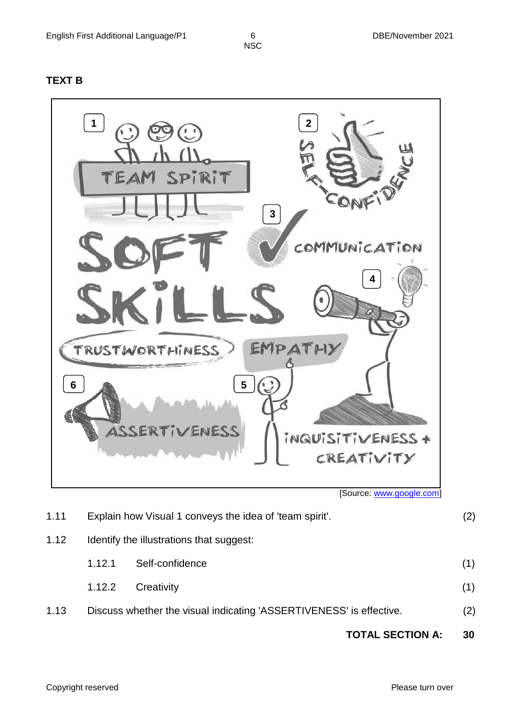#### **TEXT B**



[Source[: www.google.com\]](http://www.google.com/)

|      |                                                                     | <b>TOTAL SECTION A:</b> |     | 30  |
|------|---------------------------------------------------------------------|-------------------------|-----|-----|
| 1.13 | Discuss whether the visual indicating 'ASSERTIVENESS' is effective. |                         | (2) |     |
|      | 1.12.2                                                              | Creativity              |     | (1) |
|      | 1.12.1                                                              | Self-confidence         |     | (1) |
| 1.12 | Identify the illustrations that suggest:                            |                         |     |     |
| 1.11 | Explain how Visual 1 conveys the idea of 'team spirit'.             |                         | (2) |     |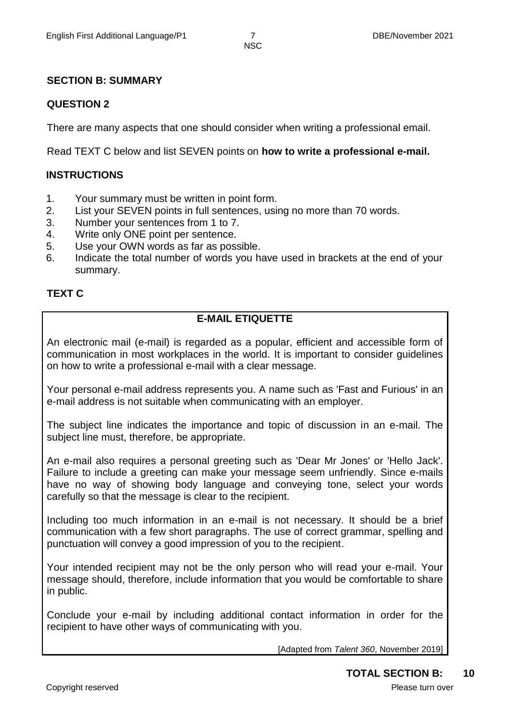#### **SECTION B: SUMMARY**

#### **QUESTION 2**

There are many aspects that one should consider when writing a professional email.

Read TEXT C below and list SEVEN points on **how to write a professional e-mail.**

#### **INSTRUCTIONS**

- 1. Your summary must be written in point form.
- 2. List your SEVEN points in full sentences, using no more than 70 words.
- 3. Number your sentences from 1 to 7.
- 4. Write only ONE point per sentence.
- 5. Use your OWN words as far as possible.
- 6. Indicate the total number of words you have used in brackets at the end of your summary.

#### **TEXT C**

### **E-MAIL ETIQUETTE**

An electronic mail (e-mail) is regarded as a popular, efficient and accessible form of communication in most workplaces in the world. It is important to consider guidelines on how to write a professional e-mail with a clear message.

Your personal e-mail address represents you. A name such as 'Fast and Furious' in an e-mail address is not suitable when communicating with an employer.

The subject line indicates the importance and topic of discussion in an e-mail. The subject line must, therefore, be appropriate.

An e-mail also requires a personal greeting such as 'Dear Mr Jones' or 'Hello Jack'. Failure to include a greeting can make your message seem unfriendly. Since e-mails have no way of showing body language and conveying tone, select your words carefully so that the message is clear to the recipient.

Including too much information in an e-mail is not necessary. It should be a brief communication with a few short paragraphs. The use of correct grammar, spelling and punctuation will convey a good impression of you to the recipient.

Your intended recipient may not be the only person who will read your e-mail. Your message should, therefore, include information that you would be comfortable to share in public.

Conclude your e-mail by including additional contact information in order for the recipient to have other ways of communicating with you.

[Adapted from *Talent 360*, November 2019]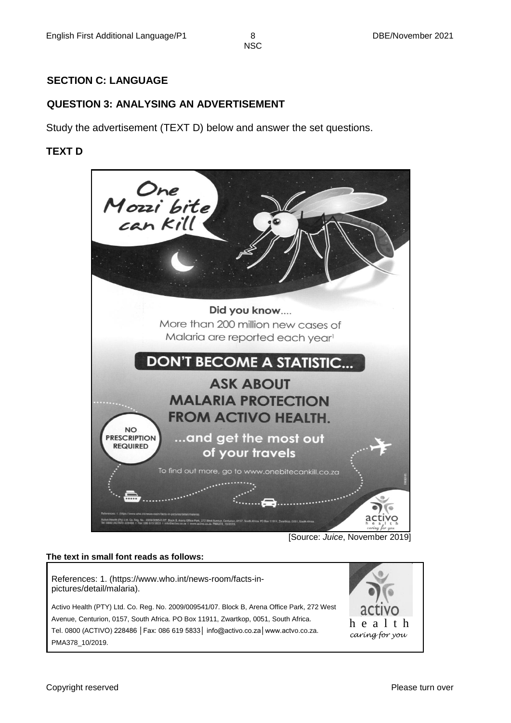#### **SECTION C: LANGUAGE**

#### **QUESTION 3: ANALYSING AN ADVERTISEMENT**

Study the advertisement (TEXT D) below and answer the set questions.

#### **TEXT D**



[Source: *Juice*, November 2019]

#### **The text in small font reads as follows:**

References: 1. (https://www.who.int/news-room/facts-inpictures/detail/malaria).

Activo Health (PTY) Ltd. Co. Reg. No. 2009/009541/07. Block B, Arena Office Park, 272 West Avenue, Centurion, 0157, South Africa. PO Box 11911, Zwartkop, 0051, South Africa. Tel. 0800 (ACTIVO) 228486 │Fax: 086 619 5833│ info@activo.co.za│www.actvo.co.za. PMA378\_10/2019.

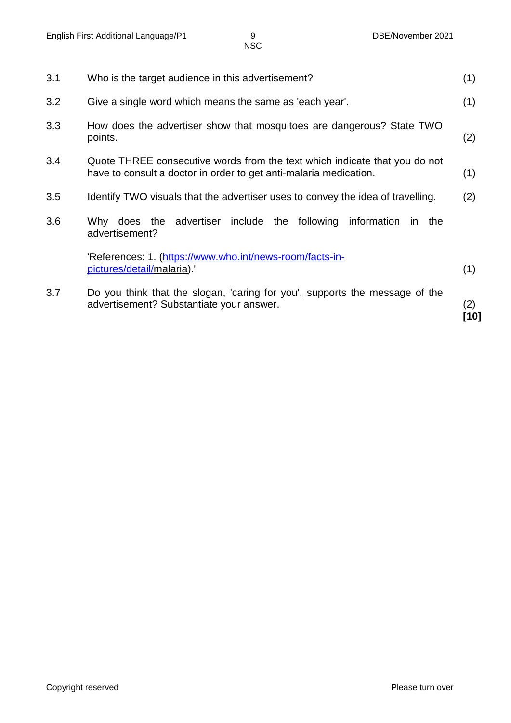| 3.1 | Who is the target audience in this advertisement?                                                                                               |             |
|-----|-------------------------------------------------------------------------------------------------------------------------------------------------|-------------|
| 3.2 | Give a single word which means the same as 'each year'.                                                                                         | (1)         |
| 3.3 | How does the advertiser show that mosquitoes are dangerous? State TWO<br>points.                                                                | (2)         |
| 3.4 | Quote THREE consecutive words from the text which indicate that you do not<br>have to consult a doctor in order to get anti-malaria medication. | (1)         |
| 3.5 | Identify TWO visuals that the advertiser uses to convey the idea of travelling.                                                                 | (2)         |
| 3.6 | following information<br>Why does the advertiser<br>include the<br>in.<br>the<br>advertisement?                                                 |             |
|     | 'References: 1. (https://www.who.int/news-room/facts-in-<br>pictures/detail/malaria).                                                           | (1)         |
| 3.7 | Do you think that the slogan, 'caring for you', supports the message of the<br>advertisement? Substantiate your answer.                         | (2)<br>[10] |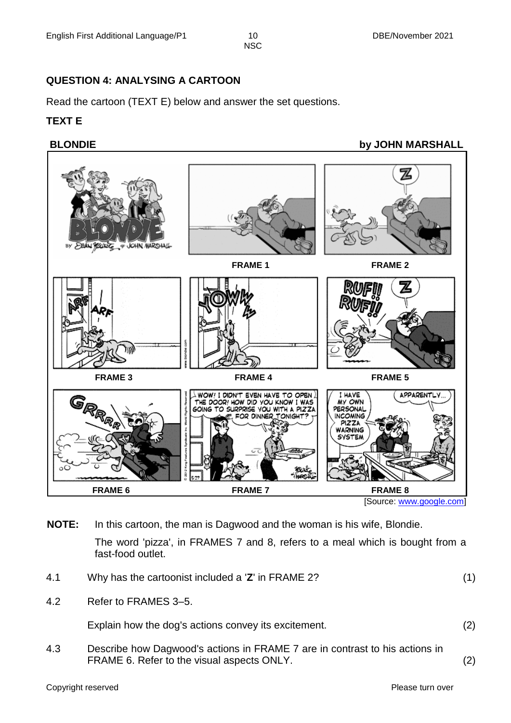#### **QUESTION 4: ANALYSING A CARTOON**

Read the cartoon (TEXT E) below and answer the set questions.

#### **TEXT E**

#### **BLONDIE** by JOHN MARSHALL



**NOTE:** In this cartoon, the man is Dagwood and the woman is his wife, Blondie.

The word 'pizza', in FRAMES 7 and 8, refers to a meal which is bought from a fast-food outlet.

- 4.1 Why has the cartoonist included a '**Z**' in FRAME 2? (1)
- 4.2 Refer to FRAMES 3–5.

Explain how the dog's actions convey its excitement. (2)

4.3 Describe how Dagwood's actions in FRAME 7 are in contrast to his actions in FRAME 6. Refer to the visual aspects ONLY. (2)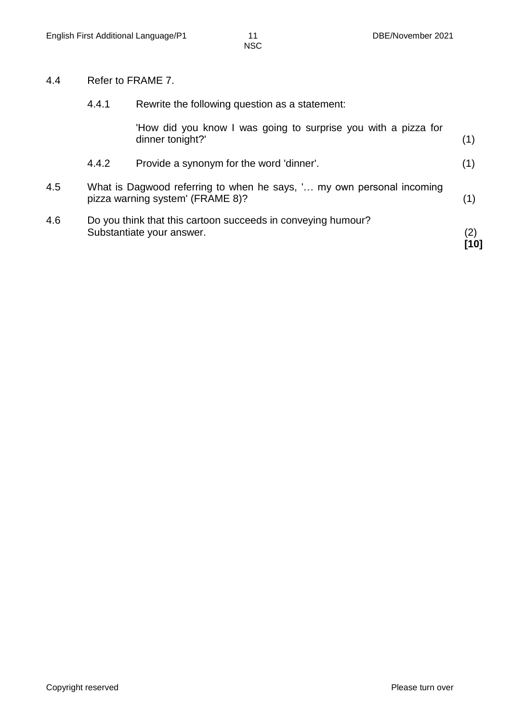#### 4.4 Refer to FRAME 7.

|     | 4.4.1 | Rewrite the following question as a statement:                                                            |             |
|-----|-------|-----------------------------------------------------------------------------------------------------------|-------------|
|     |       | 'How did you know I was going to surprise you with a pizza for<br>dinner tonight?'                        | (1)         |
|     | 4.4.2 | Provide a synonym for the word 'dinner'.                                                                  | (1)         |
| 4.5 |       | What is Dagwood referring to when he says, ' my own personal incoming<br>pizza warning system' (FRAME 8)? | (1)         |
| 4.6 |       | Do you think that this cartoon succeeds in conveying humour?<br>Substantiate your answer.                 | (2)<br>[10] |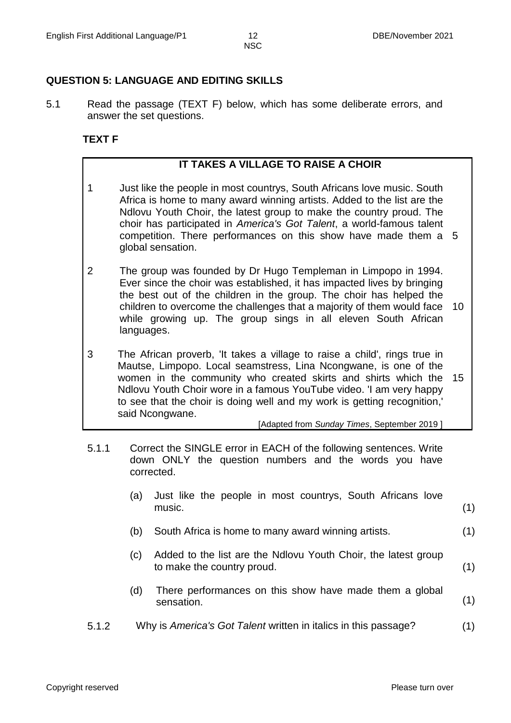#### **QUESTION 5: LANGUAGE AND EDITING SKILLS**

5.1 Read the passage (TEXT F) below, which has some deliberate errors, and answer the set questions.

#### **TEXT F**

#### **IT TAKES A VILLAGE TO RAISE A CHOIR**

- 1 Just like the people in most countrys, South Africans love music. South Africa is home to many award winning artists. Added to the list are the Ndlovu Youth Choir, the latest group to make the country proud. The choir has participated in *America's Got Talent*, a world-famous talent competition. There performances on this show have made them a 5 global sensation.
- 2 The group was founded by Dr Hugo Templeman in Limpopo in 1994. Ever since the choir was established, it has impacted lives by bringing the best out of the children in the group. The choir has helped the children to overcome the challenges that a majority of them would face 10 while growing up. The group sings in all eleven South African languages.
- 3 The African proverb, 'It takes a village to raise a child', rings true in Mautse, Limpopo. Local seamstress, Lina Ncongwane, is one of the women in the community who created skirts and shirts which the 15 Ndlovu Youth Choir wore in a famous YouTube video. 'I am very happy to see that the choir is doing well and my work is getting recognition,' said Ncongwane.

[Adapted from *Sunday Times*, September 2019 ]

- 5.1.1 Correct the SINGLE error in EACH of the following sentences. Write down ONLY the question numbers and the words you have corrected.
	- (a) Just like the people in most countrys, South Africans love music. (1)
	- (b) South Africa is home to many award winning artists. (1)
	- (c) Added to the list are the Ndlovu Youth Choir, the latest group to make the country proud. (1)
	- (d) There performances on this show have made them a global sensation. (1)
- 5.1.2 Why is *America's Got Talent* written in italics in this passage? (1)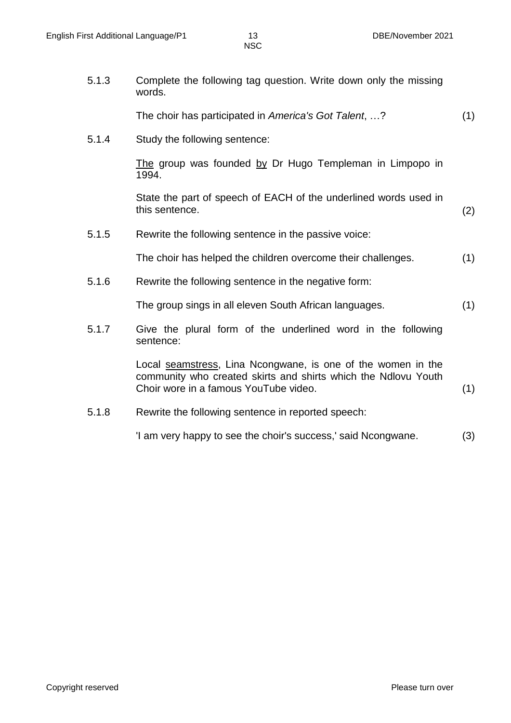5.1.3 Complete the following tag question. Write down only the missing words.

The choir has participated in *America's Got Talent*, …? (1)

5.1.4 Study the following sentence:

The group was founded by Dr Hugo Templeman in Limpopo in 1994.

State the part of speech of EACH of the underlined words used in this sentence. (2)

5.1.5 Rewrite the following sentence in the passive voice:

The choir has helped the children overcome their challenges. (1)

5.1.6 Rewrite the following sentence in the negative form:

The group sings in all eleven South African languages. (1)

5.1.7 Give the plural form of the underlined word in the following sentence:

> Local seamstress, Lina Ncongwane, is one of the women in the community who created skirts and shirts which the Ndlovu Youth Choir wore in a famous YouTube video. (1)

5.1.8 Rewrite the following sentence in reported speech:

'I am very happy to see the choir's success,' said Ncongwane. (3)